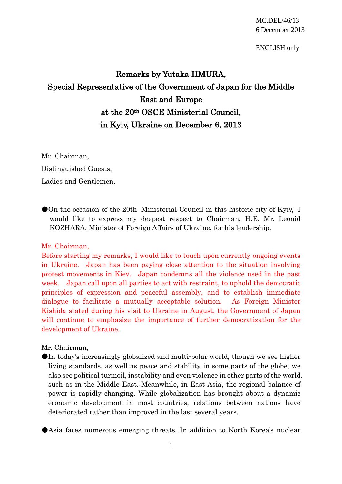ENGLISH only

## Remarks by Yutaka IIMURA, Special Representative of the Government of Japan for the Middle East and Europe at the 20th OSCE Ministerial Council, in Kyiv, Ukraine on December 6, 2013

Mr. Chairman, Distinguished Guests, Ladies and Gentlemen,

●On the occasion of the 20th Ministerial Council in this historic city of Kyiv, I would like to express my deepest respect to Chairman, H.E. Mr. Leonid KOZHARA, Minister of Foreign Affairs of Ukraine, for his leadership.

## Mr. Chairman,

Before starting my remarks, I would like to touch upon currently ongoing events in Ukraine. Japan has been paying close attention to the situation involving protest movements in Kiev. Japan condemns all the violence used in the past week. Japan call upon all parties to act with restraint, to uphold the democratic principles of expression and peaceful assembly, and to establish immediate dialogue to facilitate a mutually acceptable solution. As Foreign Minister Kishida stated during his visit to Ukraine in August, the Government of Japan will continue to emphasize the importance of further democratization for the development of Ukraine.

## Mr. Chairman,

●In today's increasingly globalized and multi-polar world, though we see higher living standards, as well as peace and stability in some parts of the globe, we also see political turmoil, instability and even violence in other parts of the world, such as in the Middle East. Meanwhile, in East Asia, the regional balance of power is rapidly changing. While globalization has brought about a dynamic economic development in most countries, relations between nations have deteriorated rather than improved in the last several years.

●Asia faces numerous emerging threats. In addition to North Korea's nuclear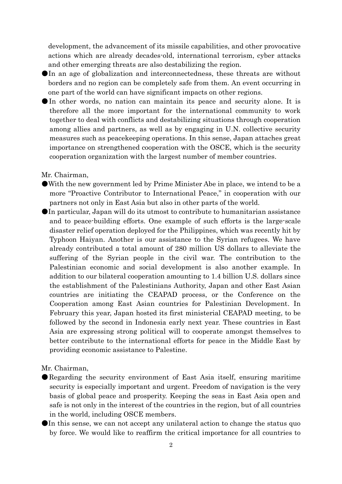development, the advancement of its missile capabilities, and other provocative actions which are already decades-old, international terrorism, cyber attacks and other emerging threats are also destabilizing the region.

- ●In an age of globalization and interconnectedness, these threats are without borders and no region can be completely safe from them. An event occurring in one part of the world can have significant impacts on other regions.
- ●In other words, no nation can maintain its peace and security alone. It is therefore all the more important for the international community to work together to deal with conflicts and destabilizing situations through cooperation among allies and partners, as well as by engaging in U.N. collective security measures such as peacekeeping operations. In this sense, Japan attaches great importance on strengthened cooperation with the OSCE, which is the security cooperation organization with the largest number of member countries.

Mr. Chairman,

- ●With the new government led by Prime Minister Abe in place, we intend to be a more "Proactive Contributor to International Peace," in cooperation with our partners not only in East Asia but also in other parts of the world.
- ●In particular, Japan will do its utmost to contribute to humanitarian assistance and to peace-building efforts. One example of such efforts is the large-scale disaster relief operation deployed for the Philippines, which was recently hit by Typhoon Haiyan. Another is our assistance to the Syrian refugees. We have already contributed a total amount of 280 million US dollars to alleviate the suffering of the Syrian people in the civil war. The contribution to the Palestinian economic and social development is also another example. In addition to our bilateral cooperation amounting to 1.4 billion U.S. dollars since the establishment of the Palestinians Authority, Japan and other East Asian countries are initiating the CEAPAD process, or the Conference on the Cooperation among East Asian countries for Palestinian Development. In February this year, Japan hosted its first ministerial CEAPAD meeting, to be followed by the second in Indonesia early next year. These countries in East Asia are expressing strong political will to cooperate amongst themselves to better contribute to the international efforts for peace in the Middle East by providing economic assistance to Palestine.

Mr. Chairman,

- ●Regarding the security environment of East Asia itself, ensuring maritime security is especially important and urgent. Freedom of navigation is the very basis of global peace and prosperity. Keeping the seas in East Asia open and safe is not only in the interest of the countries in the region, but of all countries in the world, including OSCE members.
- ●In this sense, we can not accept any unilateral action to change the status quo by force. We would like to reaffirm the critical importance for all countries to